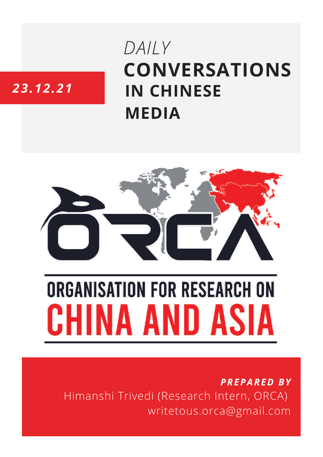## **CONVERSATIONS IN CHINESE MEDIA** *DAILY*

### *23.12.21*



# **ORGANISATION FOR RESEARCH ON** HINA AND ASIA

*PREPARED BY* Himanshi Trivedi (Research Intern, ORCA) writetous.orca@gmail.com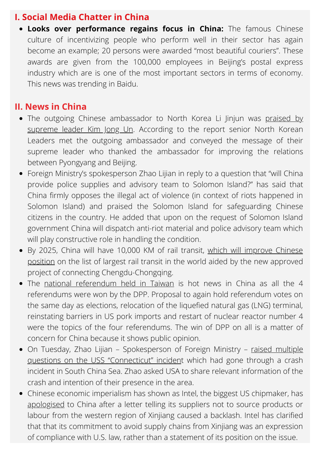#### **I. Social Media Chatter in China**

**Looks over performance regains focus in China:** The famous Chinese culture of incentivizing people who perform well in their sector has again become an example; 20 persons were awarded "most beautiful couriers". These awards are given from the 100,000 employees in Beijing's postal express industry which are is one of the most important sectors in terms of economy. This news was trending in Baidu.

#### **II. News in China**

- The outgoing Chinese [ambassador](https://www.hindustantimes.com/world-news/kim-praises-outgoing-chinese-envoy-li-jinjun-101640241885018.html) to North Korea Li Jinjun was praised by supreme leader Kim Jong Un. According to the report senior North Korean Leaders met the outgoing ambassador and conveyed the message of their supreme leader who thanked the ambassador for improving the relations between Pyongyang and Beijing.
- Foreign Ministry's spokesperson Zhao Lijian in reply to a question that "will China provide police supplies and advisory team to Solomon Island?" has said that China firmly opposes the illegal act of violence (in context of riots happened in Solomon Island) and praised the Solomon Island for safeguarding Chinese citizens in the country. He added that upon on the request of Solomon Island government China will dispatch anti-riot material and police advisory team which will play constructive role in handling the condition.
- By 2025, China will have 10,000 KM of rail transit, which will improve Chinese position on the list of [largest](https://baijiahao.baidu.com/s?id=1719842224606039203) rail transit in the world aided by the new [approved](https://baijiahao.baidu.com/s?id=1719842224606039203) project of connecting Chengdu-Chongqing.
- The national [referendum](https://thediplomat.com/2021/12/dpp-sweeps-taiwans-latest-referendum-vote/) held in Taiwan is hot news in China as all the 4 referendums were won by the DPP. Proposal to again hold referendum votes on the same day as elections, relocation of the liquefied natural gas (LNG) terminal, reinstating barriers in US pork imports and restart of nuclear reactor number 4 were the topics of the four referendums. The win of DPP on all is a matter of concern for China because it shows public opinion.
- On Tuesday, Zhao Lijian [Spokesperson](https://baijiahao.baidu.com/s?id=1719897389313908889) of Foreign Ministry raised multiple questions on the USS "Connecticut" incide[nt](https://baijiahao.baidu.com/s?id=1719897389313908889) which had gone through a crash incident in South China Sea. Zhao asked USA to share relevant information of the crash and intention of their presence in the area.
- Chinese economic imperialism has shown as Intel, the biggest US chipmaker, has [apologised](https://www.thehindu.com/sci-tech/technology/intel-apologises-in-china-over-xinjiang-supplier-statement/article38025691.ece) to China after a letter telling its suppliers not to source products or labour from the western region of Xinjiang caused a backlash. Intel has clarified that that its commitment to avoid supply chains from Xinjiang was an expression of compliance with U.S. law, rather than a statement of its position on the issue.